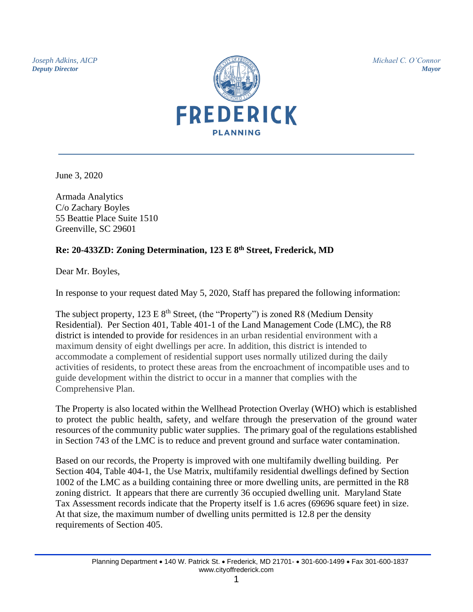*Joseph Adkins, AICP Deputy Director*



*Michael C. O'Connor Mayor*

June 3, 2020

Armada Analytics C/o Zachary Boyles 55 Beattie Place Suite 1510 Greenville, SC 29601

## **Re: 20-433ZD: Zoning Determination, 123 E 8th Street, Frederick, MD**

Dear Mr. Boyles,

In response to your request dated May 5, 2020, Staff has prepared the following information:

The subject property,  $123 \text{ E } 8^{\text{th}}$  Street, (the "Property") is zoned R8 (Medium Density Residential). Per Section 401, Table 401-1 of the Land Management Code (LMC), the R8 district is intended to provide for residences in an urban residential environment with a maximum density of eight dwellings per acre. In addition, this district is intended to accommodate a complement of residential support uses normally utilized during the daily activities of residents, to protect these areas from the encroachment of incompatible uses and to guide development within the district to occur in a manner that complies with the Comprehensive Plan.

The Property is also located within the Wellhead Protection Overlay (WHO) which is established to protect the public health, safety, and welfare through the preservation of the ground water resources of the community public water supplies. The primary goal of the regulations established in Section 743 of the LMC is to reduce and prevent ground and surface water contamination.

Based on our records, the Property is improved with one multifamily dwelling building. Per Section 404, Table 404-1, the Use Matrix, multifamily residential dwellings defined by Section 1002 of the LMC as a building containing three or more dwelling units, are permitted in the R8 zoning district. It appears that there are currently 36 occupied dwelling unit. Maryland State Tax Assessment records indicate that the Property itself is 1.6 acres (69696 square feet) in size. At that size, the maximum number of dwelling units permitted is 12.8 per the density requirements of Section 405.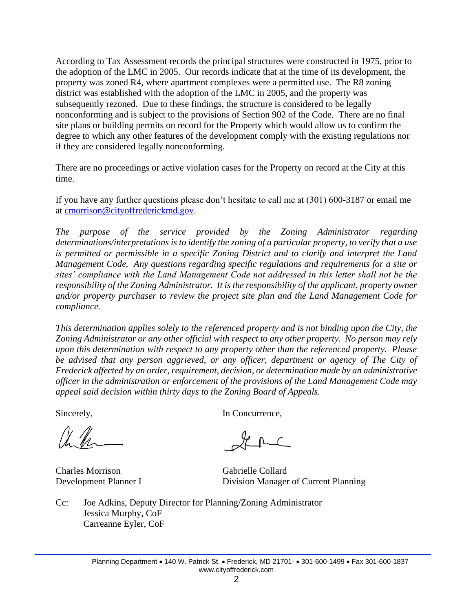According to Tax Assessment records the principal structures were constructed in 1975, prior to the adoption of the LMC in 2005. Our records indicate that at the time of its development, the property was zoned R4, where apartment complexes were a permitted use. The R8 zoning district was established with the adoption of the LMC in 2005, and the property was subsequently rezoned. Due to these findings, the structure is considered to be legally nonconforming and is subject to the provisions of Section 902 of the Code. There are no final site plans or building permits on record for the Property which would allow us to confirm the degree to which any other features of the development comply with the existing regulations nor if they are considered legally nonconforming.

There are no proceedings or active violation cases for the Property on record at the City at this time.

If you have any further questions please don't hesitate to call me at (301) 600-3187 or email me at [cmorrison@cityoffrederickmd.gov.](mailto:cmorrison@cityoffrederickmd.gov)

*The purpose of the service provided by the Zoning Administrator regarding determinations/interpretations is to identify the zoning of a particular property, to verify that a use is permitted or permissible in a specific Zoning District and to clarify and interpret the Land Management Code. Any questions regarding specific regulations and requirements for a site or sites' compliance with the Land Management Code not addressed in this letter shall not be the responsibility of the Zoning Administrator. It is the responsibility of the applicant, property owner and/or property purchaser to review the project site plan and the Land Management Code for compliance.*

*This determination applies solely to the referenced property and is not binding upon the City, the Zoning Administrator or any other official with respect to any other property. No person may rely upon this determination with respect to any property other than the referenced property. Please*  be advised that any person aggrieved, or any officer, department or agency of The City of *Frederick affected by an order, requirement, decision, or determination made by an administrative officer in the administration or enforcement of the provisions of the Land Management Code may appeal said decision within thirty days to the Zoning Board of Appeals.*

Charles Morrison Gabrielle Collard

Sincerely, In Concurrence,

Development Planner I Division Manager of Current Planning

Cc: Joe Adkins, Deputy Director for Planning/Zoning Administrator Jessica Murphy, CoF Carreanne Eyler, CoF